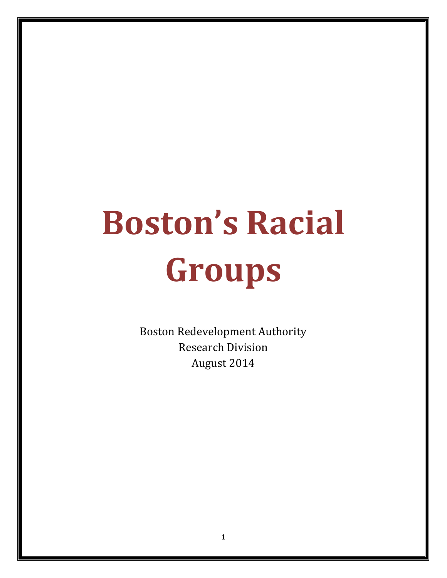# **Boston's Racial Groups**

Boston Redevelopment Authority Research Division August 2014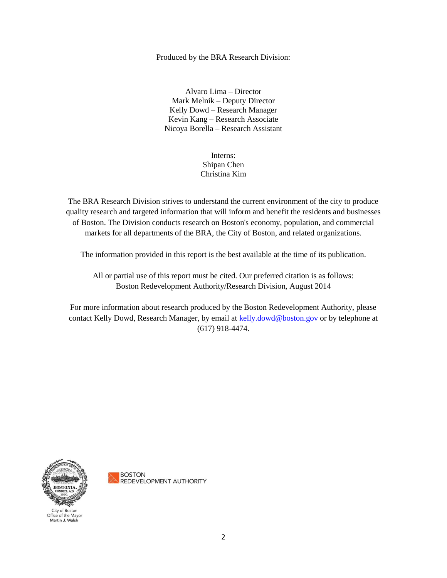Produced by the BRA Research Division:

Alvaro Lima – Director Mark Melnik – Deputy Director Kelly Dowd – Research Manager Kevin Kang – Research Associate Nicoya Borella – Research Assistant

#### Interns: Shipan Chen Christina Kim

The BRA Research Division strives to understand the current environment of the city to produce quality research and targeted information that will inform and benefit the residents and businesses of Boston. The Division conducts research on Boston's economy, population, and commercial markets for all departments of the BRA, the City of Boston, and related organizations.

The information provided in this report is the best available at the time of its publication.

All or partial use of this report must be cited. Our preferred citation is as follows: Boston Redevelopment Authority/Research Division, August 2014

For more information about research produced by the Boston Redevelopment Authority, please contact Kelly Dowd, Research Manager, by email at [kelly.dowd@boston.gov](mailto:kelly.dowd@boston.gov) or by telephone at (617) 918-4474.



Office of the Mayor Martin J. Walsh

**BOSTON** 

**REDEVELOPMENT AUTHORITY** 

2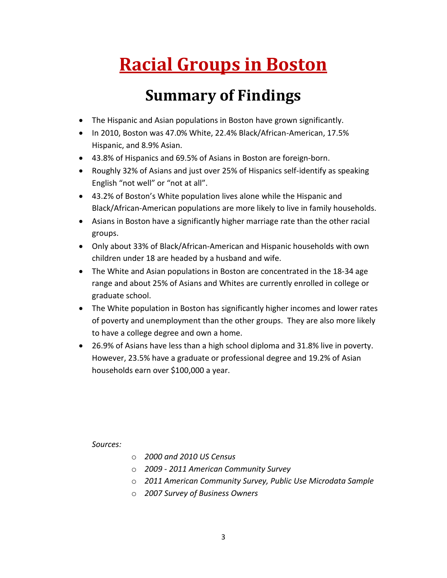## **Racial Groups in Boston**

## **Summary of Findings**

- The Hispanic and Asian populations in Boston have grown significantly.
- In 2010, Boston was 47.0% White, 22.4% Black/African-American, 17.5% Hispanic, and 8.9% Asian.
- 43.8% of Hispanics and 69.5% of Asians in Boston are foreign-born.
- Roughly 32% of Asians and just over 25% of Hispanics self-identify as speaking English "not well" or "not at all".
- 43.2% of Boston's White population lives alone while the Hispanic and Black/African-American populations are more likely to live in family households.
- Asians in Boston have a significantly higher marriage rate than the other racial groups.
- Only about 33% of Black/African-American and Hispanic households with own children under 18 are headed by a husband and wife.
- The White and Asian populations in Boston are concentrated in the 18-34 age range and about 25% of Asians and Whites are currently enrolled in college or graduate school.
- The White population in Boston has significantly higher incomes and lower rates of poverty and unemployment than the other groups. They are also more likely to have a college degree and own a home.
- 26.9% of Asians have less than a high school diploma and 31.8% live in poverty. However, 23.5% have a graduate or professional degree and 19.2% of Asian households earn over \$100,000 a year.

*Sources:*

- o *2000 and 2010 US Census*
- o *2009 - 2011 American Community Survey*
- o *2011 American Community Survey, Public Use Microdata Sample*
- o *2007 Survey of Business Owners*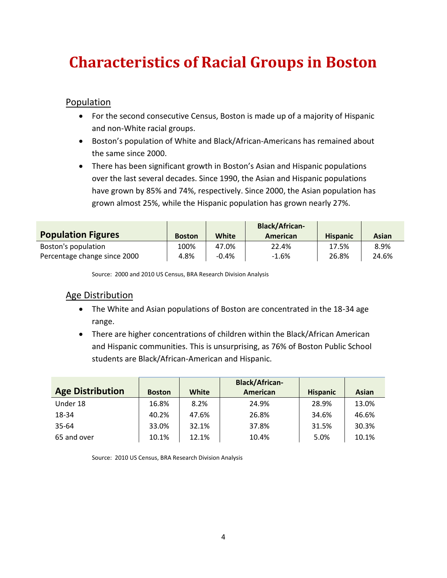### **Characteristics of Racial Groups in Boston**

Population

- For the second consecutive Census, Boston is made up of a majority of Hispanic and non-White racial groups.
- Boston's population of White and Black/African-Americans has remained about the same since 2000.
- There has been significant growth in Boston's Asian and Hispanic populations over the last several decades. Since 1990, the Asian and Hispanic populations have grown by 85% and 74%, respectively. Since 2000, the Asian population has grown almost 25%, while the Hispanic population has grown nearly 27%.

|                              |               |              | <b>Black/African-</b> |                 |       |
|------------------------------|---------------|--------------|-----------------------|-----------------|-------|
| <b>Population Figures</b>    | <b>Boston</b> | <b>White</b> | American              | <b>Hispanic</b> | Asian |
| Boston's population          | 100%          | 47.0%        | 22.4%                 | 17.5%           | 8.9%  |
| Percentage change since 2000 | 4.8%          | $-0.4\%$     | -1.6%                 | 26.8%           | 24.6% |

Source: 2000 and 2010 US Census, BRA Research Division Analysis

#### Age Distribution

- The White and Asian populations of Boston are concentrated in the 18-34 age range.
- There are higher concentrations of children within the Black/African American and Hispanic communities. This is unsurprising, as 76% of Boston Public School students are Black/African-American and Hispanic.

|                         |               |       | <b>Black/African-</b> |                 |       |
|-------------------------|---------------|-------|-----------------------|-----------------|-------|
| <b>Age Distribution</b> | <b>Boston</b> | White | American              | <b>Hispanic</b> | Asian |
| Under 18                | 16.8%         | 8.2%  | 24.9%                 | 28.9%           | 13.0% |
| 18-34                   | 40.2%         | 47.6% | 26.8%                 | 34.6%           | 46.6% |
| 35-64                   | 33.0%         | 32.1% | 37.8%                 | 31.5%           | 30.3% |
| 65 and over             | 10.1%         | 12.1% | 10.4%                 | 5.0%            | 10.1% |

Source: 2010 US Census, BRA Research Division Analysis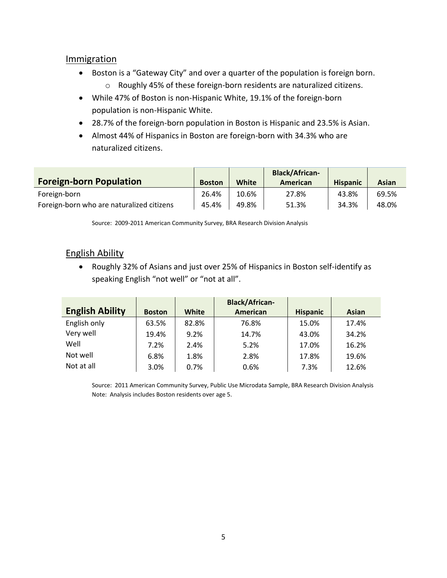#### **Immigration**

- Boston is a "Gateway City" and over a quarter of the population is foreign born.
	- o Roughly 45% of these foreign-born residents are naturalized citizens.
- While 47% of Boston is non-Hispanic White, 19.1% of the foreign-born population is non-Hispanic White.
- 28.7% of the foreign-born population in Boston is Hispanic and 23.5% is Asian.
- Almost 44% of Hispanics in Boston are foreign-born with 34.3% who are naturalized citizens.

| <b>Foreign-born Population</b>            | <b>Boston</b> | White | <b>Black/African-</b><br>American | <b>Hispanic</b> | Asian |
|-------------------------------------------|---------------|-------|-----------------------------------|-----------------|-------|
| Foreign-born                              | 26.4%         | 10.6% | 27.8%                             | 43.8%           | 69.5% |
| Foreign-born who are naturalized citizens | 45.4%         | 49.8% | 51.3%                             | 34.3%           | 48.0% |

Source: 2009-2011 American Community Survey, BRA Research Division Analysis

#### English Ability

 Roughly 32% of Asians and just over 25% of Hispanics in Boston self-identify as speaking English "not well" or "not at all".

| <b>English Ability</b> | <b>Boston</b> | <b>White</b> | <b>Black/African-</b><br>American | <b>Hispanic</b> | Asian |
|------------------------|---------------|--------------|-----------------------------------|-----------------|-------|
| English only           | 63.5%         | 82.8%        | 76.8%                             | 15.0%           | 17.4% |
| Very well              | 19.4%         | 9.2%         | 14.7%                             | 43.0%           | 34.2% |
| Well                   | 7.2%          | 2.4%         | 5.2%                              | 17.0%           | 16.2% |
| Not well               | 6.8%          | 1.8%         | 2.8%                              | 17.8%           | 19.6% |
| Not at all             | 3.0%          | 0.7%         | 0.6%                              | 7.3%            | 12.6% |

Source: 2011 American Community Survey, Public Use Microdata Sample, BRA Research Division Analysis Note: Analysis includes Boston residents over age 5.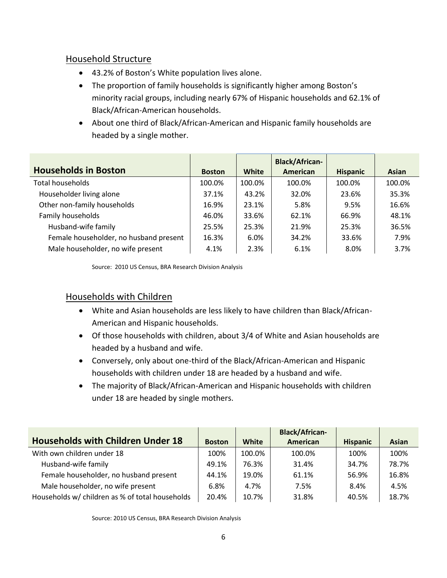#### Household Structure

- 43.2% of Boston's White population lives alone.
- The proportion of family households is significantly higher among Boston's minority racial groups, including nearly 67% of Hispanic households and 62.1% of Black/African-American households.
- About one third of Black/African-American and Hispanic family households are headed by a single mother.

|                                        |               |        | <b>Black/African-</b> |                 |              |
|----------------------------------------|---------------|--------|-----------------------|-----------------|--------------|
| <b>Households in Boston</b>            | <b>Boston</b> | White  | <b>American</b>       | <b>Hispanic</b> | <b>Asian</b> |
| <b>Total households</b>                | 100.0%        | 100.0% | 100.0%                | 100.0%          | 100.0%       |
| Householder living alone               | 37.1%         | 43.2%  | 32.0%                 | 23.6%           | 35.3%        |
| Other non-family households            | 16.9%         | 23.1%  | 5.8%                  | 9.5%            | 16.6%        |
| Family households                      | 46.0%         | 33.6%  | 62.1%                 | 66.9%           | 48.1%        |
| Husband-wife family                    | 25.5%         | 25.3%  | 21.9%                 | 25.3%           | 36.5%        |
| Female householder, no husband present | 16.3%         | 6.0%   | 34.2%                 | 33.6%           | 7.9%         |
| Male householder, no wife present      | 4.1%          | 2.3%   | 6.1%                  | 8.0%            | 3.7%         |

Source: 2010 US Census, BRA Research Division Analysis

#### Households with Children

- White and Asian households are less likely to have children than Black/African-American and Hispanic households.
- Of those households with children, about 3/4 of White and Asian households are headed by a husband and wife.
- Conversely, only about one-third of the Black/African-American and Hispanic households with children under 18 are headed by a husband and wife.
- The majority of Black/African-American and Hispanic households with children under 18 are headed by single mothers.

|                                                 |               |        | <b>Black/African-</b> |                 |       |
|-------------------------------------------------|---------------|--------|-----------------------|-----------------|-------|
| <b>Households with Children Under 18</b>        | <b>Boston</b> | White  | American              | <b>Hispanic</b> | Asian |
| With own children under 18                      | 100%          | 100.0% | 100.0%                | 100%            | 100%  |
| Husband-wife family                             | 49.1%         | 76.3%  | 31.4%                 | 34.7%           | 78.7% |
| Female householder, no husband present          | 44.1%         | 19.0%  | 61.1%                 | 56.9%           | 16.8% |
| Male householder, no wife present               | 6.8%          | 4.7%   | 7.5%                  | 8.4%            | 4.5%  |
| Households w/ children as % of total households | 20.4%         | 10.7%  | 31.8%                 | 40.5%           | 18.7% |

Source: 2010 US Census, BRA Research Division Analysis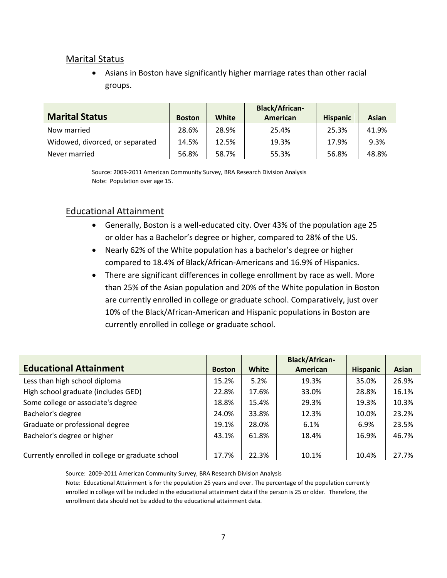#### Marital Status

 Asians in Boston have significantly higher marriage rates than other racial groups.

|                                 |               |       | <b>Black/African-</b> |                 |              |
|---------------------------------|---------------|-------|-----------------------|-----------------|--------------|
| <b>Marital Status</b>           | <b>Boston</b> | White | American              | <b>Hispanic</b> | <b>Asian</b> |
| Now married                     | 28.6%         | 28.9% | 25.4%                 | 25.3%           | 41.9%        |
| Widowed, divorced, or separated | 14.5%         | 12.5% | 19.3%                 | 17.9%           | 9.3%         |
| Never married                   | 56.8%         | 58.7% | 55.3%                 | 56.8%           | 48.8%        |

Source: 2009-2011 American Community Survey, BRA Research Division Analysis Note: Population over age 15.

#### Educational Attainment

- Generally, Boston is a well-educated city. Over 43% of the population age 25 or older has a Bachelor's degree or higher, compared to 28% of the US.
- Nearly 62% of the White population has a bachelor's degree or higher compared to 18.4% of Black/African-Americans and 16.9% of Hispanics.
- There are significant differences in college enrollment by race as well. More than 25% of the Asian population and 20% of the White population in Boston are currently enrolled in college or graduate school. Comparatively, just over 10% of the Black/African-American and Hispanic populations in Boston are currently enrolled in college or graduate school.

|                                                  |               |              | <b>Black/African-</b> |                 |       |
|--------------------------------------------------|---------------|--------------|-----------------------|-----------------|-------|
| <b>Educational Attainment</b>                    | <b>Boston</b> | <b>White</b> | American              | <b>Hispanic</b> | Asian |
| Less than high school diploma                    | 15.2%         | 5.2%         | 19.3%                 | 35.0%           | 26.9% |
| High school graduate (includes GED)              | 22.8%         | 17.6%        | 33.0%                 | 28.8%           | 16.1% |
| Some college or associate's degree               | 18.8%         | 15.4%        | 29.3%                 | 19.3%           | 10.3% |
| Bachelor's degree                                | 24.0%         | 33.8%        | 12.3%                 | 10.0%           | 23.2% |
| Graduate or professional degree                  | 19.1%         | 28.0%        | 6.1%                  | 6.9%            | 23.5% |
| Bachelor's degree or higher                      | 43.1%         | 61.8%        | 18.4%                 | 16.9%           | 46.7% |
|                                                  |               |              |                       |                 |       |
| Currently enrolled in college or graduate school | 17.7%         | 22.3%        | 10.1%                 | 10.4%           | 27.7% |

Source: 2009-2011 American Community Survey, BRA Research Division Analysis Note: Educational Attainment is for the population 25 years and over. The percentage of the population currently enrolled in college will be included in the educational attainment data if the person is 25 or older. Therefore, the enrollment data should not be added to the educational attainment data.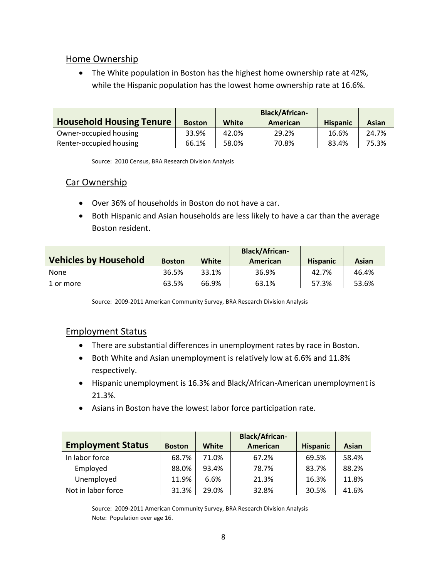#### Home Ownership

• The White population in Boston has the highest home ownership rate at 42%, while the Hispanic population has the lowest home ownership rate at 16.6%.

| <b>Household Housing Tenure</b> | <b>Boston</b> | <b>White</b> | <b>Black/African-</b><br>American | <b>Hispanic</b> | Asian |
|---------------------------------|---------------|--------------|-----------------------------------|-----------------|-------|
| Owner-occupied housing          | 33.9%         | 42.0%        | 29.2%                             | 16.6%           | 24.7% |
| Renter-occupied housing         | 66.1%         | 58.0%        | 70.8%                             | 83.4%           | 75.3% |

Source: 2010 Census, BRA Research Division Analysis

#### Car Ownership

- Over 36% of households in Boston do not have a car.
- Both Hispanic and Asian households are less likely to have a car than the average Boston resident.

| <b>Vehicles by Household</b> | <b>Boston</b> | White | <b>Black/African-</b><br>American | <b>Hispanic</b> | Asian |
|------------------------------|---------------|-------|-----------------------------------|-----------------|-------|
| <b>None</b>                  | 36.5%         | 33.1% | 36.9%                             | 42.7%           | 46.4% |
| 1 or more                    | 63.5%         | 66.9% | 63.1%                             | 57.3%           | 53.6% |

Source: 2009-2011 American Community Survey, BRA Research Division Analysis

#### Employment Status

- There are substantial differences in unemployment rates by race in Boston.
- Both White and Asian unemployment is relatively low at 6.6% and 11.8% respectively.
- Hispanic unemployment is 16.3% and Black/African-American unemployment is 21.3%.
- Asians in Boston have the lowest labor force participation rate.

|                          |               |              | <b>Black/African-</b> |                 |              |
|--------------------------|---------------|--------------|-----------------------|-----------------|--------------|
| <b>Employment Status</b> | <b>Boston</b> | <b>White</b> | American              | <b>Hispanic</b> | <b>Asian</b> |
| In labor force           | 68.7%         | 71.0%        | 67.2%                 | 69.5%           | 58.4%        |
| Employed                 | 88.0%         | 93.4%        | 78.7%                 | 83.7%           | 88.2%        |
| Unemployed               | 11.9%         | 6.6%         | 21.3%                 | 16.3%           | 11.8%        |
| Not in labor force       | 31.3%         | 29.0%        | 32.8%                 | 30.5%           | 41.6%        |

Source: 2009-2011 American Community Survey, BRA Research Division Analysis Note: Population over age 16.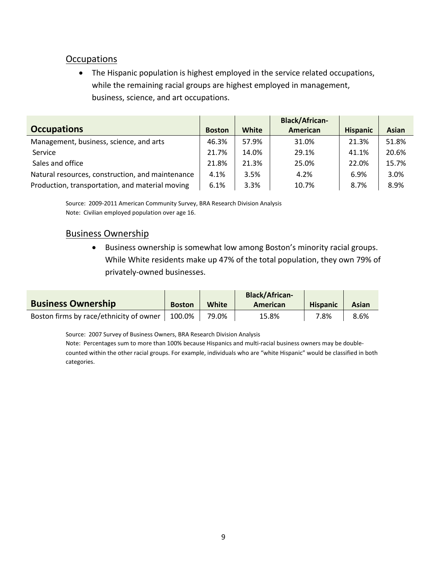#### **Occupations**

• The Hispanic population is highest employed in the service related occupations, while the remaining racial groups are highest employed in management, business, science, and art occupations.

|                                                  |               |              | <b>Black/African-</b> |                 |              |
|--------------------------------------------------|---------------|--------------|-----------------------|-----------------|--------------|
| <b>Occupations</b>                               | <b>Boston</b> | <b>White</b> | American              | <b>Hispanic</b> | <b>Asian</b> |
| Management, business, science, and arts          | 46.3%         | 57.9%        | 31.0%                 | 21.3%           | 51.8%        |
| Service                                          | 21.7%         | 14.0%        | 29.1%                 | 41.1%           | 20.6%        |
| Sales and office                                 | 21.8%         | 21.3%        | 25.0%                 | 22.0%           | 15.7%        |
| Natural resources, construction, and maintenance | 4.1%          | 3.5%         | 4.2%                  | 6.9%            | 3.0%         |
| Production, transportation, and material moving  | 6.1%          | 3.3%         | 10.7%                 | 8.7%            | 8.9%         |

Source: 2009-2011 American Community Survey, BRA Research Division Analysis Note: Civilian employed population over age 16.

#### Business Ownership

 Business ownership is somewhat low among Boston's minority racial groups. While White residents make up 47% of the total population, they own 79% of privately-owned businesses.

|                                         |               |              | <b>Black/African-</b> |                 |       |
|-----------------------------------------|---------------|--------------|-----------------------|-----------------|-------|
| <b>Business Ownership</b>               | <b>Boston</b> | <b>White</b> | American              | <b>Hispanic</b> | Asian |
| Boston firms by race/ethnicity of owner | 100.0%        | 79.0%        | 15.8%                 | 7.8%            | 8.6%  |

Source: 2007 Survey of Business Owners, BRA Research Division Analysis

Note: Percentages sum to more than 100% because Hispanics and multi-racial business owners may be doublecounted within the other racial groups. For example, individuals who are "white Hispanic" would be classified in both categories.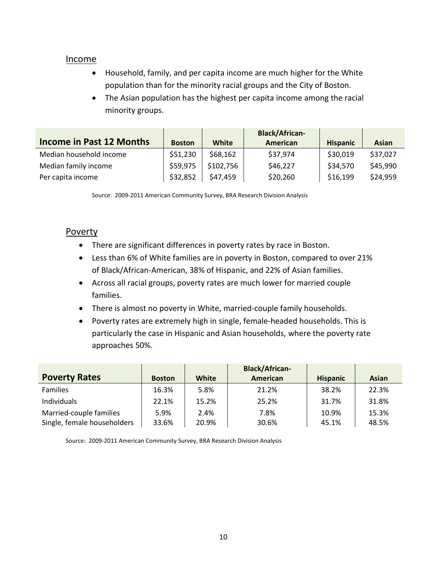#### Income

- Household, family, and per capita income are much higher for the White population than for the minority racial groups and the City of Boston.
- The Asian population has the highest per capita income among the racial minority groups.

|                                 |               |           | <b>Black/African-</b> |                 |          |
|---------------------------------|---------------|-----------|-----------------------|-----------------|----------|
| <b>Income in Past 12 Months</b> | <b>Boston</b> | White     | American              | <b>Hispanic</b> | Asian    |
| Median household income         | \$51,230      | \$68,162  | \$37,974              | \$30,019        | \$37,027 |
| Median family income            | \$59,975      | \$102,756 | \$46,227              | \$34,570        | \$45,990 |
| Per capita income               | \$32,852      | \$47,459  | \$20,260              | \$16,199        | \$24,959 |

Source: 2009-2011 American Community Survey, BRA Research Division Analysis

#### Poverty

- There are significant differences in poverty rates by race in Boston.
- Less than 6% of White families are in poverty in Boston, compared to over 21% of Black/African-American, 38% of Hispanic, and 22% of Asian families.
- Across all racial groups, poverty rates are much lower for married couple families.
- There is almost no poverty in White, married-couple family households.
- Poverty rates are extremely high in single, female-headed households. This is particularly the case in Hispanic and Asian households, where the poverty rate approaches 50%.

|                             |               |       | <b>Black/African-</b> |                 |       |
|-----------------------------|---------------|-------|-----------------------|-----------------|-------|
| <b>Poverty Rates</b>        | <b>Boston</b> | White | American              | <b>Hispanic</b> | Asian |
| <b>Families</b>             | 16.3%         | 5.8%  | 21.2%                 | 38.2%           | 22.3% |
| Individuals                 | 22.1%         | 15.2% | 25.2%                 | 31.7%           | 31.8% |
| Married-couple families     | 5.9%          | 2.4%  | 7.8%                  | 10.9%           | 15.3% |
| Single, female householders | 33.6%         | 20.9% | 30.6%                 | 45.1%           | 48.5% |

Source: 2009-2011 American Community Survey, BRA Research Division Analysis